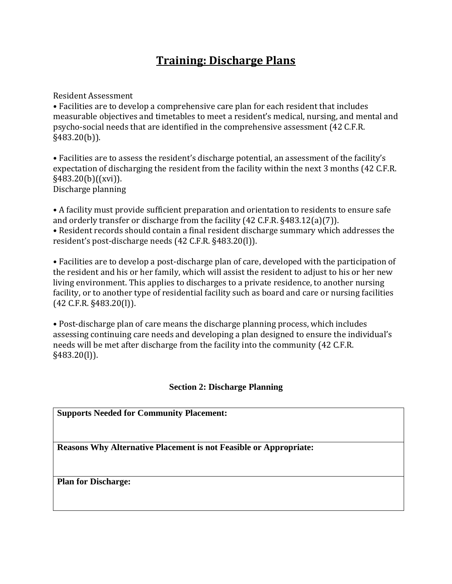# **Training: Discharge Plans**

Resident Assessment

• Facilities are to develop a comprehensive care plan for each resident that includes measurable objectives and timetables to meet a resident's medical, nursing, and mental and psycho-social needs that are identified in the comprehensive assessment (42 C.F.R. §483.20(b)).

• Facilities are to assess the resident's discharge potential, an assessment of the facility's expectation of discharging the resident from the facility within the next 3 months (42 C.F.R. §483.20(b)((xvi)). Discharge planning

• A facility must provide sufficient preparation and orientation to residents to ensure safe and orderly transfer or discharge from the facility (42 C.F.R. §483.12(a)(7)). • Resident records should contain a final resident discharge summary which addresses the resident's post-discharge needs (42 C.F.R. §483.20(l)).

• Facilities are to develop a post-discharge plan of care, developed with the participation of the resident and his or her family, which will assist the resident to adjust to his or her new living environment. This applies to discharges to a private residence, to another nursing facility, or to another type of residential facility such as board and care or nursing facilities (42 C.F.R. §483.20(l)).

• Post-discharge plan of care means the discharge planning process, which includes assessing continuing care needs and developing a plan designed to ensure the individual's needs will be met after discharge from the facility into the community (42 C.F.R. §483.20(l)).

## **Section 2: Discharge Planning**

**Supports Needed for Community Placement:**

**Reasons Why Alternative Placement is not Feasible or Appropriate:**

**Plan for Discharge:**